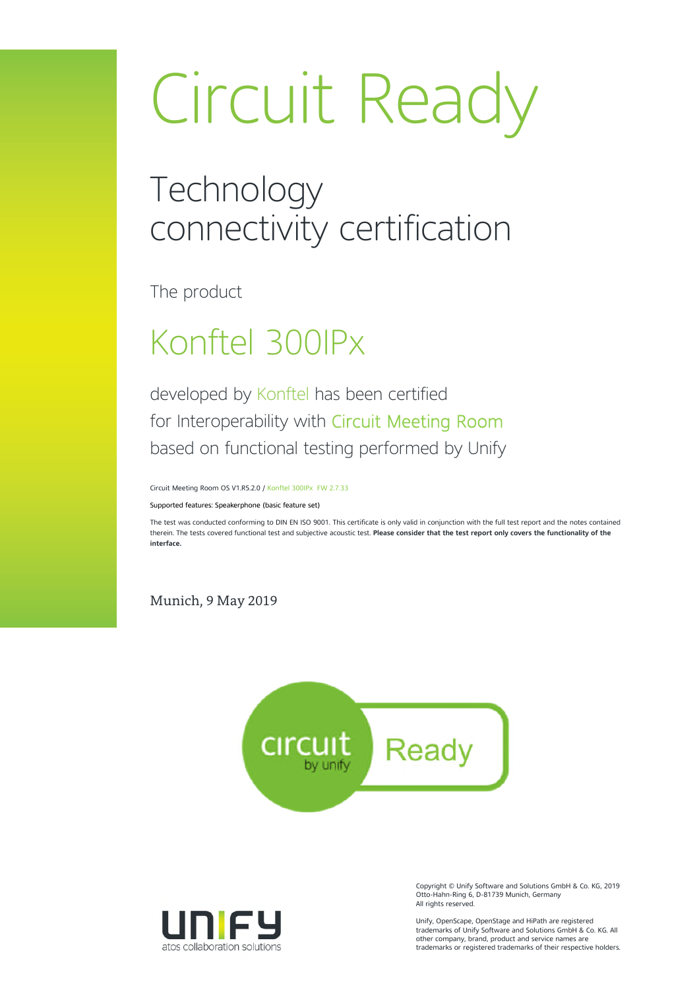# Circuit Ready

### **Technology** connectivity certification

The product

### Konftel 300IPx

developed by Konftel has been certified for Interoperability with Circuit Meeting Room based on functional testing performed by Unify

Circuit Meeting Room OS V1.R5.2.0 / Konftel 300IPx FW 2.7.33

Supported features: Speakerphone (basic feature set)

The test was conducted conforming to DIN EN ISO 9001. This certificate is only valid in conjunction with the full test report and the notes contained therein. The tests covered functional test and subjective acoustic test. **Please consider that the test report only covers the functionality of the interface.**

Munich, 9 May 2019





Copyright © Unify Software and Solutions GmbH & Co. KG, 2019 Otto-Hahn-Ring 6, D-81739 Munich, Germany All rights reserved.

Unify, OpenScape, OpenStage and HiPath are registered trademarks of Unify Software and Solutions GmbH & Co. KG. All other company, brand, product and service names are trademarks or registered trademarks of their respective holders.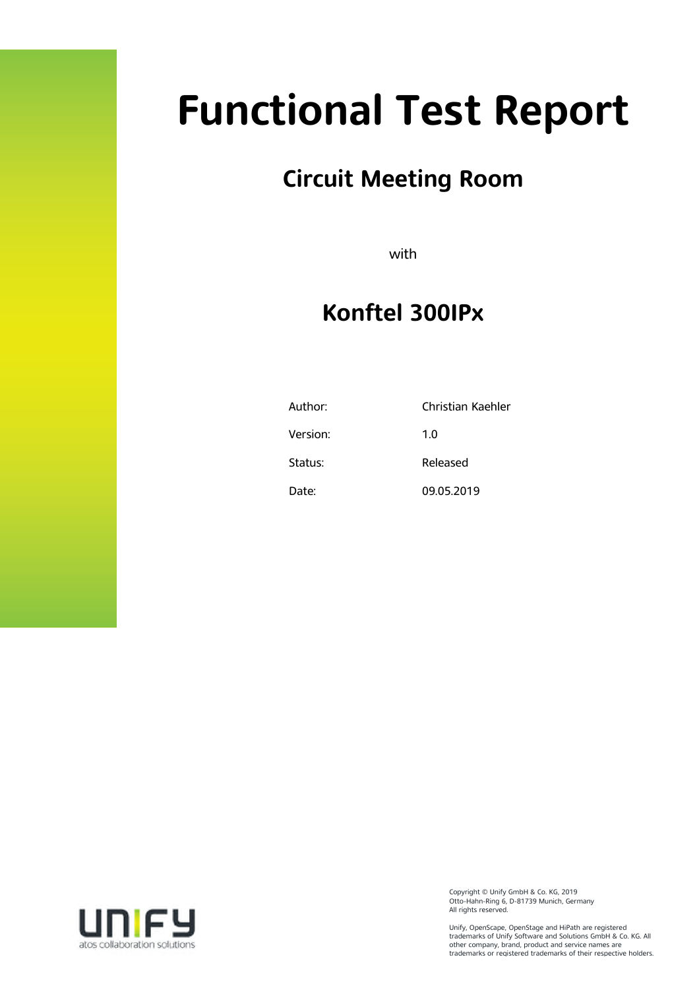# **Functional Test Report**

### **Circuit Meeting Room**

with

### **Konftel 300IPx**

| Author:  | Christian Kaehler |
|----------|-------------------|
| Version: | 1.0               |
| Status:  | Released          |
| Date:    | 09.05.2019        |



Copyright © Unify GmbH & Co. KG, 2019 Otto-Hahn-Ring 6, D-81739 Munich, Germany All rights reserved.

Unify, OpenScape, OpenStage and HiPath are registered trademarks of Unify Software and Solutions GmbH & Co. KG. All other company, brand, product and service names are trademarks or registered trademarks of their respective holders.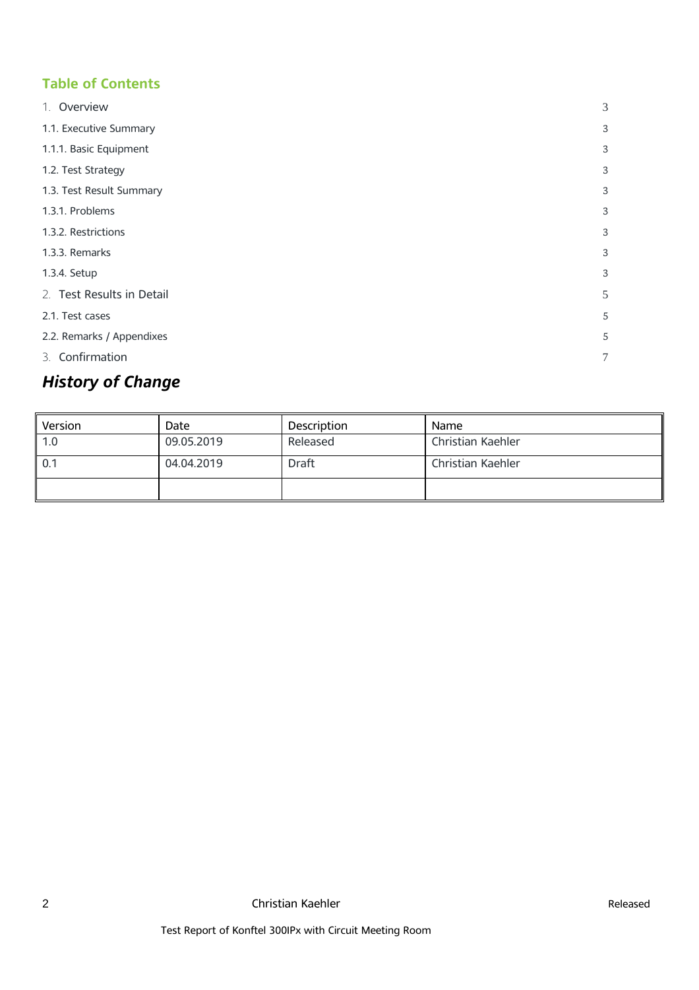#### **Table of Contents**

| 1. Overview               | 3              |
|---------------------------|----------------|
| 1.1. Executive Summary    | 3              |
| 1.1.1. Basic Equipment    | 3              |
| 1.2. Test Strategy        | 3              |
| 1.3. Test Result Summary  | 3              |
| 1.3.1. Problems           | 3              |
| 1.3.2. Restrictions       | 3              |
| 1.3.3. Remarks            | 3              |
| 1.3.4. Setup              | 3              |
| 2. Test Results in Detail | 5              |
| 2.1. Test cases           | 5              |
| 2.2. Remarks / Appendixes | 5              |
| 3. Confirmation           | $\overline{7}$ |

### *History of Change*

| Version | Date       | <b>Description</b> | <b>Name</b>              |
|---------|------------|--------------------|--------------------------|
| 1.0     | 09.05.2019 | Released           | <b>Christian Kaehler</b> |
| 0.1     | 04.04.2019 | <b>Draft</b>       | Christian Kaehler        |
|         |            |                    |                          |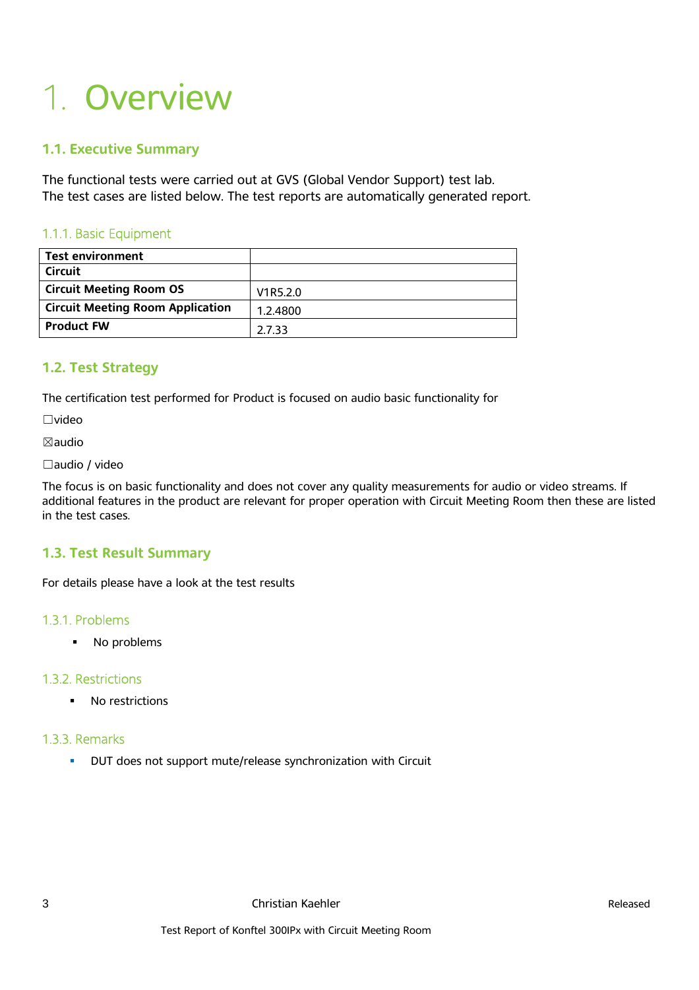## 1. Overview

#### **1.1. Executive Summary**

The functional tests were carried out at GVS (Global Vendor Support) test lab. The test cases are listed below. The test reports are automatically generated report.

#### 1.1.1. Basic Equipment

| <b>Test environment</b>                 |          |
|-----------------------------------------|----------|
| <b>Circuit</b>                          |          |
| <b>Circuit Meeting Room OS</b>          | V1R5.2.0 |
| <b>Circuit Meeting Room Application</b> | 1.2.4800 |
| <b>Product FW</b>                       | 2.7.33   |

#### **1.2. Test Strategy**

The certification test performed for Product is focused on audio basic functionality for

☐video

☒audio

#### ☐audio / video

The focus is on basic functionality and does not cover any quality measurements for audio or video streams. If additional features in the product are relevant for proper operation with Circuit Meeting Room then these are listed in the test cases.

#### **1.3. Test Result Summary**

For details please have a look at the test results

#### 1.3.1. Problems

• No problems

#### 1.3.2. Restrictions

**No restrictions** 

#### 1.3.3. Remarks

**DUT** does not support mute/release synchronization with Circuit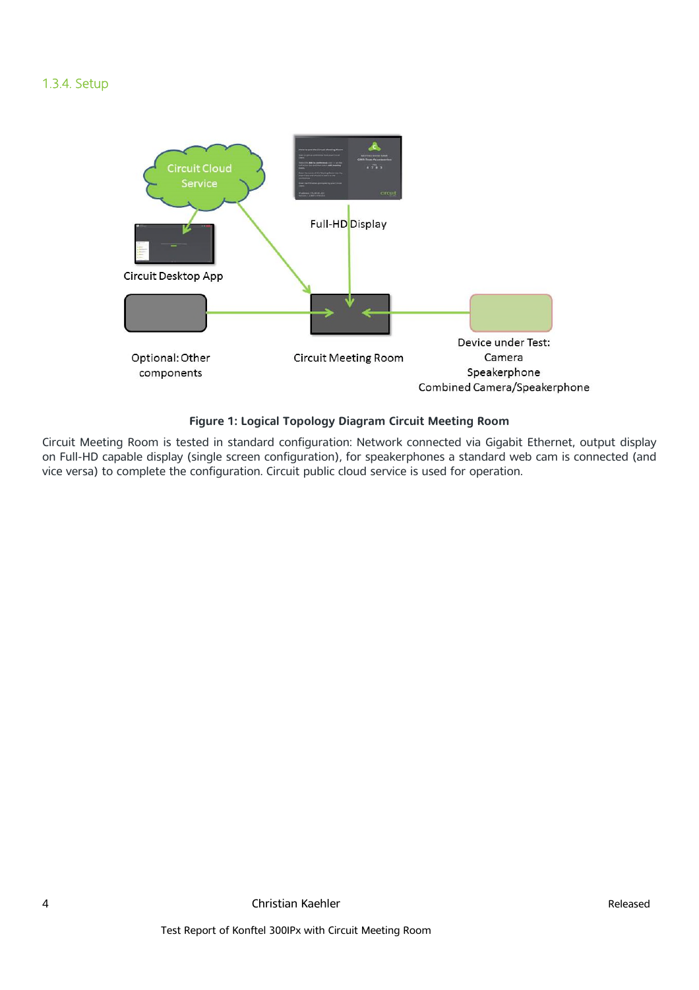#### 1.3.4. Setup



#### **Figure 1: Logical Topology Diagram Circuit Meeting Room**

Circuit Meeting Room is tested in standard configuration: Network connected via Gigabit Ethernet, output display on Full-HD capable display (single screen configuration), for speakerphones a standard web cam is connected (and vice versa) to complete the configuration. Circuit public cloud service is used for operation.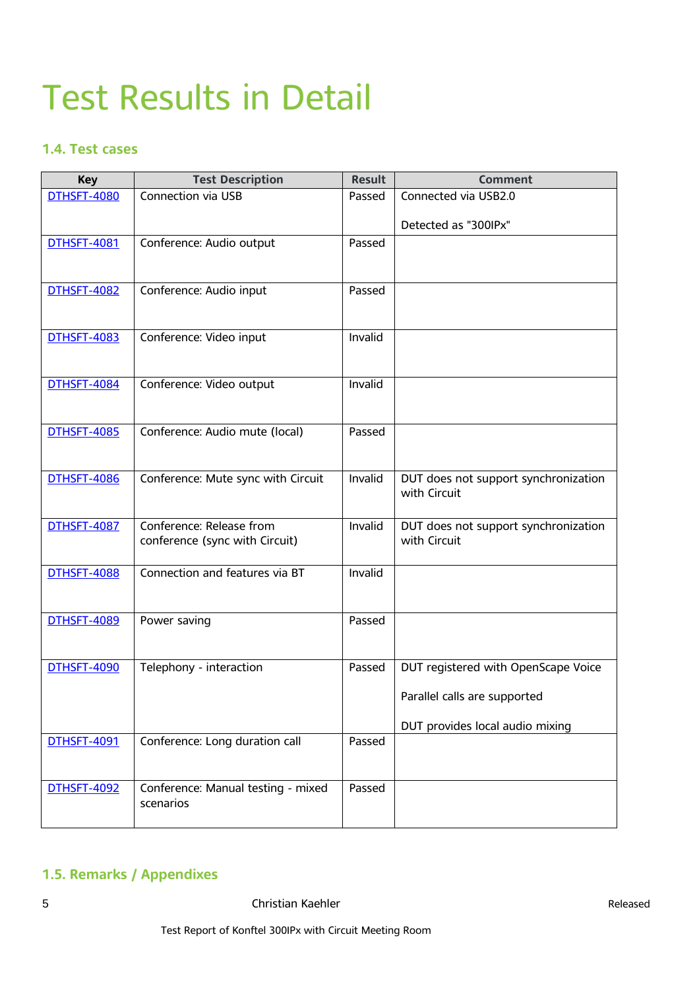### Test Results in Detail

#### **1.4. Test cases**

| <b>Key</b>         | <b>Test Description</b>                         | <b>Result</b> | <b>Comment</b>                       |
|--------------------|-------------------------------------------------|---------------|--------------------------------------|
| <b>DTHSFT-4080</b> | <b>Connection via USB</b>                       | Passed        | Connected via USB2.0                 |
|                    |                                                 |               | Detected as "300IPx"                 |
| <b>DTHSFT-4081</b> | Conference: Audio output                        | Passed        |                                      |
|                    |                                                 |               |                                      |
| <b>DTHSFT-4082</b> | Conference: Audio input                         | Passed        |                                      |
|                    |                                                 |               |                                      |
| <b>DTHSFT-4083</b> | Conference: Video input                         | Invalid       |                                      |
|                    |                                                 |               |                                      |
| <b>DTHSFT-4084</b> | Conference: Video output                        | Invalid       |                                      |
|                    |                                                 |               |                                      |
| <b>DTHSFT-4085</b> | Conference: Audio mute (local)                  | Passed        |                                      |
|                    |                                                 |               |                                      |
| <b>DTHSFT-4086</b> | Conference: Mute sync with Circuit              | Invalid       | DUT does not support synchronization |
|                    |                                                 |               | with Circuit                         |
| <b>DTHSFT-4087</b> | Conference: Release from                        | Invalid       | DUT does not support synchronization |
|                    | conference (sync with Circuit)                  |               | with Circuit                         |
| <b>DTHSFT-4088</b> | Connection and features via BT                  | Invalid       |                                      |
|                    |                                                 |               |                                      |
| <b>DTHSFT-4089</b> | Power saving                                    | Passed        |                                      |
|                    |                                                 |               |                                      |
| <b>DTHSFT-4090</b> | Telephony - interaction                         | Passed        | DUT registered with OpenScape Voice  |
|                    |                                                 |               |                                      |
|                    |                                                 |               | Parallel calls are supported         |
|                    |                                                 |               | DUT provides local audio mixing      |
| <b>DTHSFT-4091</b> | Conference: Long duration call                  | Passed        |                                      |
|                    |                                                 |               |                                      |
| <b>DTHSFT-4092</b> | Conference: Manual testing - mixed<br>scenarios | Passed        |                                      |
|                    |                                                 |               |                                      |

#### **1.5. Remarks / Appendixes**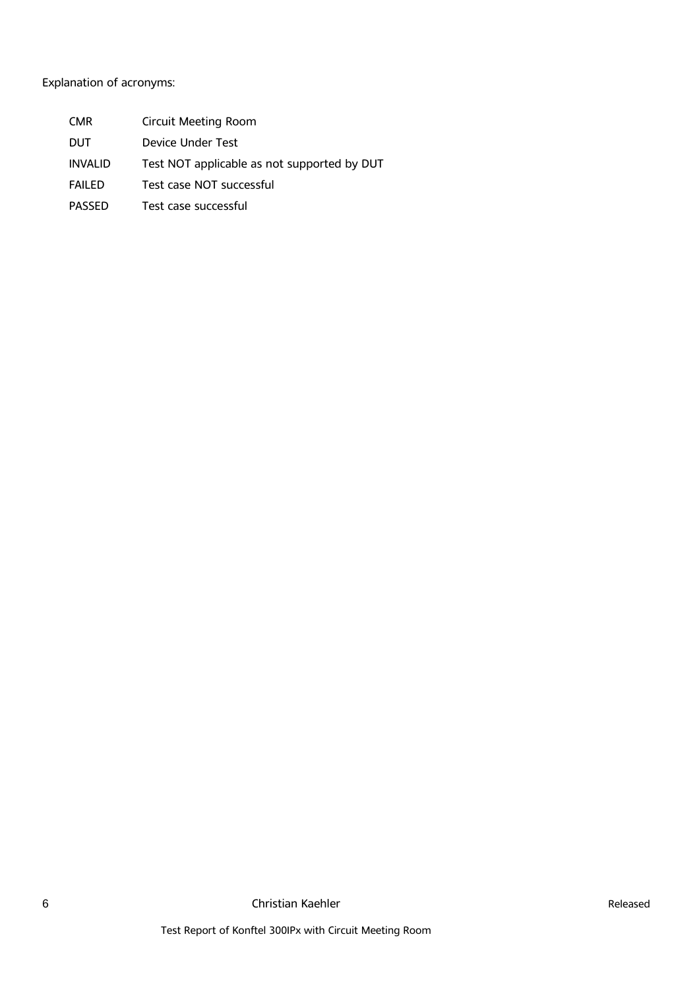#### Explanation of acronyms:

- CMR Circuit Meeting Room
- DUT Device Under Test
- INVALID Test NOT applicable as not supported by DUT
- FAILED Test case NOT successful
- PASSED Test case successful